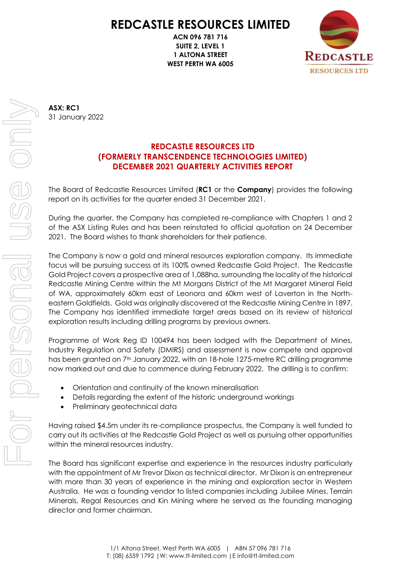# **REDCASTLE RESOURCES LIMITED**

**ACN 096 781 716 SUITE 2, LEVEL 1 1 ALTONA STREET WEST PERTH WA 6005**



**ASX: RC1** 31 January 2022

## **REDCASTLE RESOURCES LTD (FORMERLY TRANSCENDENCE TECHNOLOGIES LIMITED) DECEMBER 2021 QUARTERLY ACTIVITIES REPORT**

The Board of Redcastle Resources Limited (**RC1** or the **Company**) provides the following report on its activities for the quarter ended 31 December 2021.

During the quarter, the Company has completed re-compliance with Chapters 1 and 2 of the ASX Listing Rules and has been reinstated to official quotation on 24 December 2021. The Board wishes to thank shareholders for their patience.

The Company is now a gold and mineral resources exploration company. Its immediate focus will be pursuing success at its 100% owned Redcastle Gold Project. The Redcastle Gold Project covers a prospective area of 1,088ha, surrounding the locality of the historical Redcastle Mining Centre within the Mt Morgans District of the Mt Margaret Mineral Field of WA, approximately 60km east of Leonora and 60km west of Laverton in the Northeastern Goldfields. Gold was originally discovered at the Redcastle Mining Centre in 1897. The Company has identified immediate target areas based on its review of historical exploration results including drilling programs by previous owners.

Programme of Work Reg ID 100494 has been lodged with the Department of Mines, Industry Regulation and Safety (DMIRS) and assessment is now compete and approval has been granted on 7<sup>th</sup> January 2022, with an 18-hole 1275-metre RC drilling programme now marked out and due to commence during February 2022. The drilling is to confirm:

- Orientation and continuity of the known mineralisation
- Details regarding the extent of the historic underground workings
- Preliminary geotechnical data

Having raised \$4.5m under its re-compliance prospectus, the Company is well funded to carry out its activities at the Redcastle Gold Project as well as pursuing other opportunities within the mineral resources industry.

The Board has significant expertise and experience in the resources industry particularly with the appointment of Mr Trevor Dixon as technical director. Mr Dixon is an entrepreneur with more than 30 years of experience in the mining and exploration sector in Western Australia. He was a founding vendor to listed companies including Jubilee Mines, Terrain Minerals, Regal Resources and Kin Mining where he served as the founding managing director and former chairman.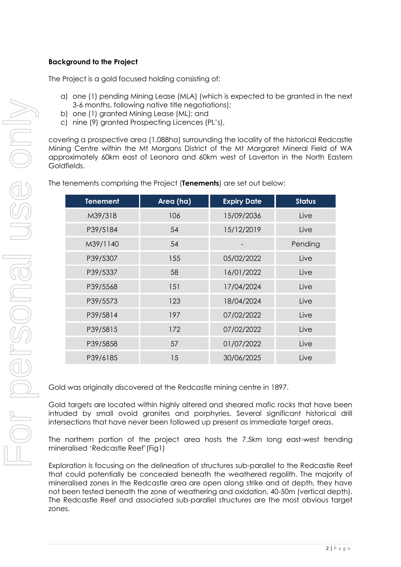### **Background to the Project**

The Project is a gold focused holding consisting of:

- a) one (1) pending Mining Lease (MLA) (which is expected to be granted in the next 3-6 months, following native title negotiations);
- b) one (1) granted Mining Lease (ML); and
- c) nine (9) granted Prospecting Licences (PL's),

covering a prospective area (1,088ha) surrounding the locality of the historical Redcastle Mining Centre within the Mt Morgans District of the Mt Margaret Mineral Field of WA approximately 60km east of Leonora and 60km west of Laverton in the North Eastern Goldfields.

| <b>Tenement</b> | Area (ha) | <b>Expiry Date</b> | <b>Status</b> |
|-----------------|-----------|--------------------|---------------|
| M39/318         | 106       | 15/09/2036         | Live          |
| P39/5184        | 54        | 15/12/2019         | Live          |
| M39/1140        | 54        |                    | Pending       |
| P39/5307        | 155       | 05/02/2022         | Live          |
| P39/5337        | 58        | 16/01/2022         | Live          |
| P39/5568        | 151       | 17/04/2024         | Live          |
| P39/5573        | 123       | 18/04/2024         | Live          |
| P39/5814        | 197       | 07/02/2022         | Live          |
| P39/5815        | 172       | 07/02/2022         | Live          |
| P39/5858        | 57        | 01/07/2022         | Live          |
| P39/6185        | 15        | 30/06/2025         | Live          |

The tenements comprising the Project (**Tenements**) are set out below:

Gold was originally discovered at the Redcastle mining centre in 1897.

Gold targets are located within highly altered and sheared mafic rocks that have been intruded by small ovoid granites and porphyries. Several significant historical drill intersections that have never been followed up present as immediate target areas.

The northern portion of the project area hosts the 7.5km long east-west trending mineralised 'Redcastle Reef'(Fig1)

Exploration is focusing on the delineation of structures sub-parallel to the Redcastle Reef that could potentially be concealed beneath the weathered regolith. The majority of mineralised zones in the Redcastle area are open along strike and at depth, they have not been tested beneath the zone of weathering and oxidation, 40-50m (vertical depth). The Redcastle Reef and associated sub-parallel structures are the most obvious target zones.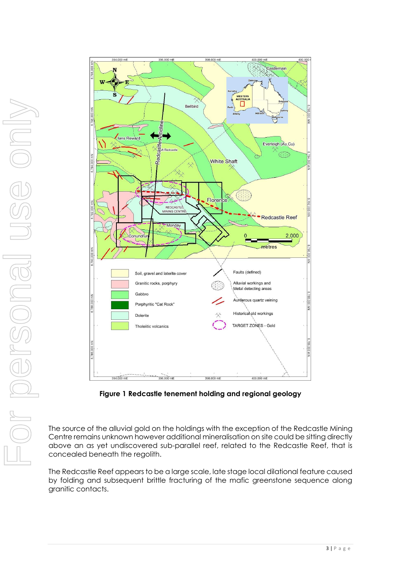

**Figure 1 Redcastle tenement holding and regional geology**

The source of the alluvial gold on the holdings with the exception of the Redcastle Mining Centre remains unknown however additional mineralisation on site could be sitting directly above an as yet undiscovered sub-parallel reef, related to the Redcastle Reef, that is concealed beneath the regolith.

The Redcastle Reef appears to be a large scale, late stage local dilational feature caused by folding and subsequent brittle fracturing of the mafic greenstone sequence along granitic contacts.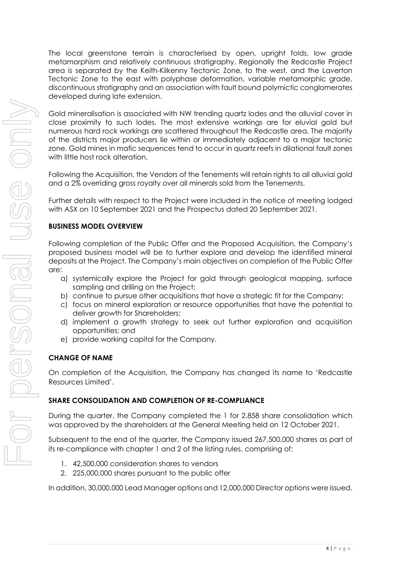The local greenstone terrain is characterised by open, upright folds, low grade metamorphism and relatively continuous stratigraphy. Regionally the Redcastle Project area is separated by the Keith-Kilkenny Tectonic Zone, to the west, and the Laverton Tectonic Zone to the east with polyphase deformation, variable metamorphic grade, discontinuous stratigraphy and an association with fault bound polymictic conglomerates developed during late extension.

Gold mineralisation is associated with NW trending quartz lodes and the alluvial cover in close proximity to such lodes. The most extensive workings are for eluvial gold but numerous hard rock workings are scattered throughout the Redcastle area. The majority of the districts major producers lie within or immediately adjacent to a major tectonic zone. Gold mines in mafic sequences tend to occur in quartz reefs in dilational fault zones with little host rock alteration.

Following the Acquisition, the Vendors of the Tenements will retain rights to all alluvial gold and a 2% overriding gross royalty over all minerals sold from the Tenements.

Further details with respect to the Project were included in the notice of meeting lodged with ASX on 10 September 2021 and the Prospectus dated 20 September 2021.

### **BUSINESS MODEL OVERVIEW**

Following completion of the Public Offer and the Proposed Acquisition, the Company's proposed business model will be to further explore and develop the identified mineral deposits at the Project. The Company's main objectives on completion of the Public Offer are:

- a) systemically explore the Project for gold through geological mapping, surface sampling and drilling on the Project;
- b) continue to pursue other acquisitions that have a strategic fit for the Company;
- c) focus on mineral exploration or resource opportunities that have the potential to deliver growth for Shareholders;
- d) implement a growth strategy to seek out further exploration and acquisition opportunities; and
- e) provide working capital for the Company.

### **CHANGE OF NAME**

On completion of the Acquisition, the Company has changed its name to 'Redcastle Resources Limited'.

### **SHARE CONSOLIDATION AND COMPLETION OF RE-COMPLIANCE**

During the quarter, the Company completed the 1 for 2.858 share consolidation which was approved by the shareholders at the General Meeting held on 12 October 2021.

Subsequent to the end of the quarter, the Company issued 267,500,000 shares as part of its re-compliance with chapter 1 and 2 of the listing rules, comprising of:

- 1. 42,500,000 consideration shares to vendors
- 2. 225,000,000 shares pursuant to the public offer

In addition, 30,000,000 Lead Manager options and 12,000,000 Director options were issued.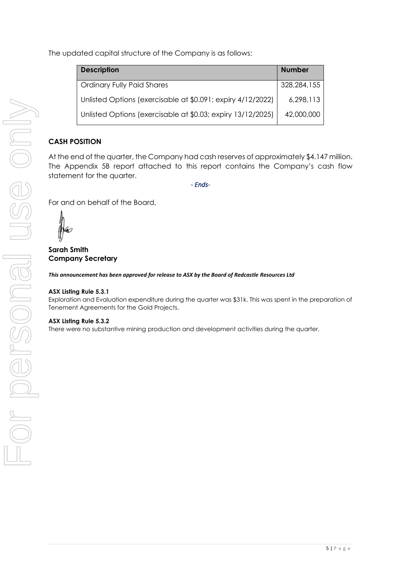The updated capital structure of the Company is as follows:

| <b>Description</b>                                          | <b>Number</b> |
|-------------------------------------------------------------|---------------|
| <b>Ordinary Fully Paid Shares</b>                           | 328,284,155   |
| Unlisted Options (exercisable at \$0.091; expiry 4/12/2022) | 6,298,113     |
| Unlisted Options (exercisable at \$0.03; expiry 13/12/2025) | 42,000,000    |

## **CASH POSITION**

At the end of the quarter, the Company had cash reserves of approximately \$4.147 million. The Appendix 5B report attached to this report contains the Company's cash flow statement for the quarter.

*- Ends-*

For and on behalf of the Board,

mo

**Sarah Smith Company Secretary**

*This announcement has been approved for release to ASX by the Board of Redcastle Resources Ltd*

#### **ASX Listing Rule 5.3.1**

Exploration and Evaluation expenditure during the quarter was \$31k. This was spent in the preparation of Tenement Agreements for the Gold Projects.

#### **ASX Listing Rule 5.3.2**

There were no substantive mining production and development activities during the quarter.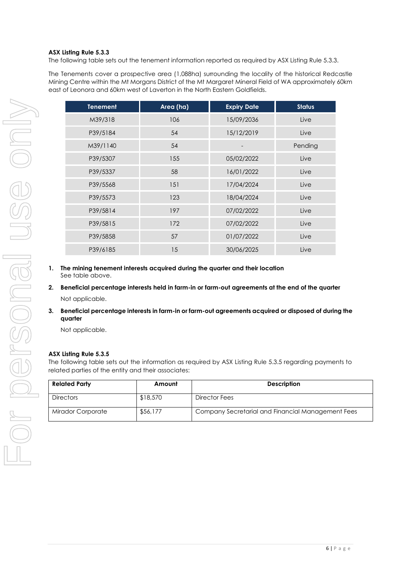#### **ASX Listing Rule 5.3.3**

The following table sets out the tenement information reported as required by ASX Listing Rule 5.3.3.

The Tenements cover a prospective area (1,088ha) surrounding the locality of the historical Redcastle Mining Centre within the Mt Morgans District of the Mt Margaret Mineral Field of WA approximately 60km east of Leonora and 60km west of Laverton in the North Eastern Goldfields.

| <b>Tenement</b> | Area (ha) | <b>Expiry Date</b> | <b>Status</b> |
|-----------------|-----------|--------------------|---------------|
| M39/318         | 106       | 15/09/2036         | Live          |
| P39/5184        | 54        | 15/12/2019         | Live          |
| M39/1140        | 54        |                    | Pending       |
| P39/5307        | 155       | 05/02/2022         | Live          |
| P39/5337        | 58        | 16/01/2022         | Live          |
| P39/5568        | 151       | 17/04/2024         | Live          |
| P39/5573        | 123       | 18/04/2024         | Live          |
| P39/5814        | 197       | 07/02/2022         | Live          |
| P39/5815        | 172       | 07/02/2022         | Live          |
| P39/5858        | 57        | 01/07/2022         | Live          |
| P39/6185        | 15        | 30/06/2025         | Live          |

- **1. The mining tenement interests acquired during the quarter and their location** See table above.
- **2. Beneficial percentage interests held in farm-in or farm-out agreements at the end of the quarter** Not applicable.
- **3. Beneficial percentage interests in farm-in or farm-out agreements acquired or disposed of during the quarter**

Not applicable.

#### **ASX Listing Rule 5.3.5**

The following table sets out the information as required by ASX Listing Rule 5.3.5 regarding payments to related parties of the entity and their associates:

| <b>Related Party</b>     | Amount   | <b>Description</b>                                |
|--------------------------|----------|---------------------------------------------------|
| <b>Directors</b>         | \$18,570 | Director Fees                                     |
| <b>Mirador Corporate</b> | \$56,177 | Company Secretarial and Financial Management Fees |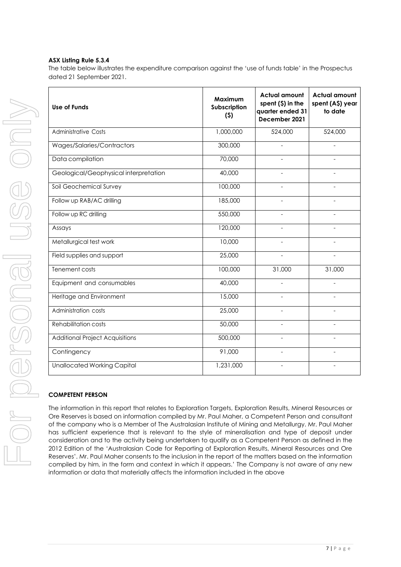#### **ASX Listing Rule 5.3.4**

The table below illustrates the expenditure comparison against the 'use of funds table' in the Prospectus dated 21 September 2021.

| <b>Use of Funds</b>                    | Maximum<br>Subscription<br>(5) | <b>Actual amount</b><br>spent $(5)$ in the<br>quarter ended 31<br>December 2021 | <b>Actual amount</b><br>spent (A\$) year<br>to date |
|----------------------------------------|--------------------------------|---------------------------------------------------------------------------------|-----------------------------------------------------|
| <b>Administrative Costs</b>            | 1,000,000                      | 524,000                                                                         | 524,000                                             |
| Wages/Salaries/Contractors             | 300,000                        |                                                                                 |                                                     |
| Data compilation                       | 70,000                         |                                                                                 |                                                     |
| Geological/Geophysical interpretation  | 40,000                         |                                                                                 |                                                     |
| Soil Geochemical Survey                | 100,000                        |                                                                                 |                                                     |
| Follow up RAB/AC drilling              | 185,000                        |                                                                                 |                                                     |
| Follow up RC drilling                  | 550,000                        |                                                                                 |                                                     |
| Assays                                 | 120,000                        |                                                                                 |                                                     |
| Metallurgical test work                | 10,000                         |                                                                                 |                                                     |
| Field supplies and support             | 25,000                         | $\overline{a}$                                                                  | $\overline{a}$                                      |
| Tenement costs                         | 100,000                        | 31,000                                                                          | 31,000                                              |
| Equipment and consumables              | 40,000                         |                                                                                 |                                                     |
| Heritage and Environment               | 15,000                         |                                                                                 | $\overline{a}$                                      |
| Administration costs                   | 25,000                         |                                                                                 |                                                     |
| <b>Rehabilitation costs</b>            | 50,000                         |                                                                                 |                                                     |
| <b>Additional Project Acquisitions</b> | 500,000                        |                                                                                 |                                                     |
| Contingency                            | 91,000                         |                                                                                 |                                                     |
| <b>Unallocated Working Capital</b>     | 1,231,000                      |                                                                                 |                                                     |

#### **COMPETENT PERSON**

The information in this report that relates to Exploration Targets, Exploration Results, Mineral Resources or Ore Reserves is based on information compiled by Mr. Paul Maher, a Competent Person and consultant of the company who is a Member of The Australasian Institute of Mining and Metallurgy. Mr. Paul Maher has sufficient experience that is relevant to the style of mineralisation and type of deposit under consideration and to the activity being undertaken to qualify as a Competent Person as defined in the 2012 Edition of the 'Australasian Code for Reporting of Exploration Results, Mineral Resources and Ore Reserves'. Mr. Paul Maher consents to the inclusion in the report of the matters based on the information compiled by him, in the form and context in which it appears.' The Company is not aware of any new information or data that materially affects the information included in the above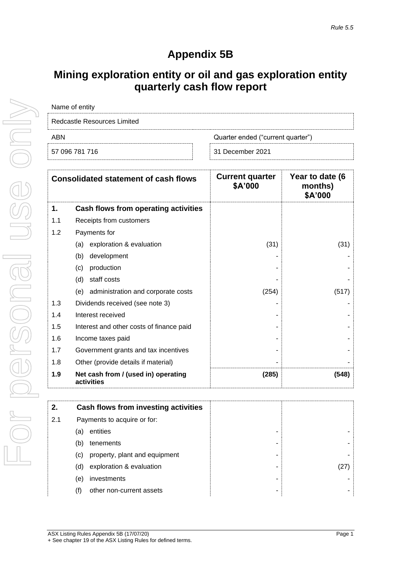## **Appendix 5B**

## **Mining exploration entity or oil and gas exploration entity quarterly cash flow report**

| Name of entity              |                                   |
|-----------------------------|-----------------------------------|
| Redcastle Resources Limited |                                   |
| ARN                         | Quarter ended ("current quarter") |
| 57 096 781 716              | 31 December 2021                  |
|                             |                                   |

|     | <b>Consolidated statement of cash flows</b>       | <b>Current quarter</b><br>\$A'000 | Year to date (6<br>months)<br>\$A'000 |
|-----|---------------------------------------------------|-----------------------------------|---------------------------------------|
| 1.  | Cash flows from operating activities              |                                   |                                       |
| 1.1 | Receipts from customers                           |                                   |                                       |
| 1.2 | Payments for                                      |                                   |                                       |
|     | exploration & evaluation<br>(a)                   | (31)                              | (31)                                  |
|     | development<br>(b)                                |                                   |                                       |
|     | production<br>(c)                                 |                                   |                                       |
|     | (d)<br>staff costs                                |                                   |                                       |
|     | (e) administration and corporate costs            | (254)                             | (517)                                 |
| 1.3 | Dividends received (see note 3)                   |                                   |                                       |
| 1.4 | Interest received                                 |                                   |                                       |
| 1.5 | Interest and other costs of finance paid          |                                   |                                       |
| 1.6 | Income taxes paid                                 |                                   |                                       |
| 1.7 | Government grants and tax incentives              |                                   |                                       |
| 1.8 | Other (provide details if material)               |                                   |                                       |
| 1.9 | Net cash from / (used in) operating<br>activities | (285)                             | (548)                                 |

|                   | Cash flows from investing activities |  |
|-------------------|--------------------------------------|--|
| 2.1               | Payments to acquire or for:          |  |
| (a)               | entities                             |  |
| (b)               | tenements                            |  |
| $\left( c\right)$ | property, plant and equipment        |  |
| (d)               | exploration & evaluation             |  |
| (e)               | investments                          |  |
| (f)               | other non-current assets             |  |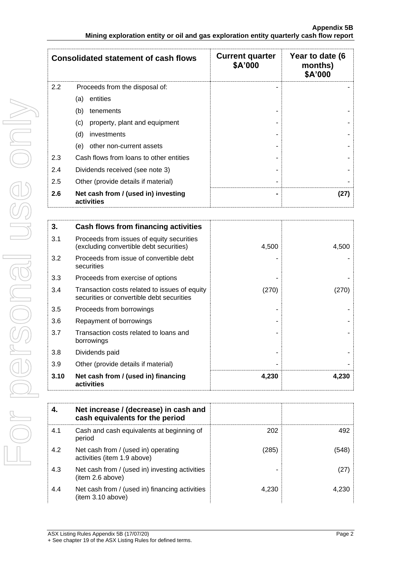|     | <b>Consolidated statement of cash flows</b>       | <b>Current quarter</b><br>\$A'000 | Year to date (6<br>months)<br>\$A'000 |
|-----|---------------------------------------------------|-----------------------------------|---------------------------------------|
| 2.2 | Proceeds from the disposal of:                    |                                   |                                       |
|     | entities<br>(a)                                   |                                   |                                       |
|     | (b)<br>tenements                                  |                                   |                                       |
|     | (c)<br>property, plant and equipment              |                                   |                                       |
|     | (d)<br>investments                                |                                   |                                       |
|     | (e)<br>other non-current assets                   |                                   |                                       |
| 2.3 | Cash flows from loans to other entities           |                                   |                                       |
| 2.4 | Dividends received (see note 3)                   |                                   |                                       |
| 2.5 | Other (provide details if material)               |                                   |                                       |
| 2.6 | Net cash from / (used in) investing<br>activities |                                   | (27)                                  |

| 3.   | Cash flows from financing activities                                                       |       |       |
|------|--------------------------------------------------------------------------------------------|-------|-------|
| 3.1  | Proceeds from issues of equity securities<br>(excluding convertible debt securities)       | 4,500 | 4,500 |
| 3.2  | Proceeds from issue of convertible debt<br>securities                                      |       |       |
| 3.3  | Proceeds from exercise of options                                                          |       |       |
| 3.4  | Transaction costs related to issues of equity<br>securities or convertible debt securities | (270) | (270) |
| 3.5  | Proceeds from borrowings                                                                   |       |       |
| 3.6  | Repayment of borrowings                                                                    |       |       |
| 3.7  | Transaction costs related to loans and<br>borrowings                                       |       |       |
| 3.8  | Dividends paid                                                                             |       |       |
| 3.9  | Other (provide details if material)                                                        |       |       |
| 3.10 | Net cash from / (used in) financing<br>activities                                          | 4,230 | 4,230 |

|     | Net increase / (decrease) in cash and<br>cash equivalents for the period |       |       |
|-----|--------------------------------------------------------------------------|-------|-------|
| 4.1 | Cash and cash equivalents at beginning of<br>period                      | 202   | 492   |
| 4.2 | Net cash from / (used in) operating<br>activities (item 1.9 above)       | (285) | (548) |
| 4.3 | Net cash from / (used in) investing activities<br>(item 2.6 above)       |       | (27)  |
| 4.4 | Net cash from / (used in) financing activities<br>(item 3.10 above)      | 4.230 | 4.230 |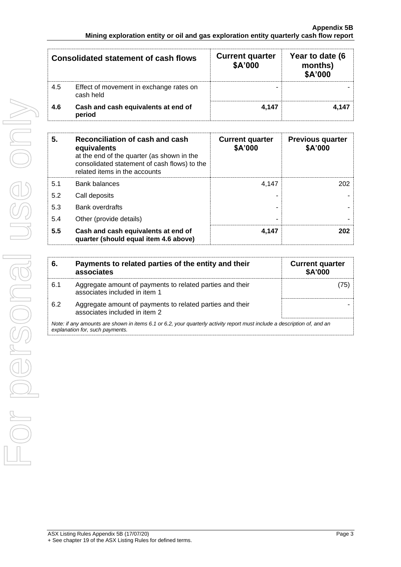|     | <b>Consolidated statement of cash flows</b>          | <b>Current quarter</b><br>\$A'000 | Year to date (6<br>months)<br>\$A'000 |
|-----|------------------------------------------------------|-----------------------------------|---------------------------------------|
| 4.5 | Effect of movement in exchange rates on<br>cash held | -                                 |                                       |
| 4.6 | Cash and cash equivalents at end of<br>period        | 4.147                             | 4.147                                 |

| 5.  | Reconciliation of cash and cash<br>equivalents<br>at the end of the quarter (as shown in the<br>consolidated statement of cash flows) to the<br>related items in the accounts | <b>Current quarter</b><br>\$A'000 | <b>Previous quarter</b><br>\$A'000 |
|-----|-------------------------------------------------------------------------------------------------------------------------------------------------------------------------------|-----------------------------------|------------------------------------|
| 5.1 | <b>Bank balances</b>                                                                                                                                                          | 4.147                             | 202                                |
| 5.2 | Call deposits                                                                                                                                                                 |                                   |                                    |
| 5.3 | <b>Bank overdrafts</b>                                                                                                                                                        |                                   |                                    |
| 5.4 | Other (provide details)                                                                                                                                                       | -                                 |                                    |
| 5.5 | Cash and cash equivalents at end of<br>quarter (should equal item 4.6 above)                                                                                                  | 4.147                             | 202                                |

|                                                                                                                                                             | Payments to related parties of the entity and their<br>associates                          | <b>Current quarter</b><br><b>\$A'000</b> |  |
|-------------------------------------------------------------------------------------------------------------------------------------------------------------|--------------------------------------------------------------------------------------------|------------------------------------------|--|
| 6.1                                                                                                                                                         | Aggregate amount of payments to related parties and their<br>associates included in item 1 | 75                                       |  |
| 6.2                                                                                                                                                         | Aggregate amount of payments to related parties and their<br>associates included in item 2 |                                          |  |
| Note: if any amounts are shown in items 6.1 or 6.2, your quarterly activity report must include a description of, and an<br>explanation for, such payments. |                                                                                            |                                          |  |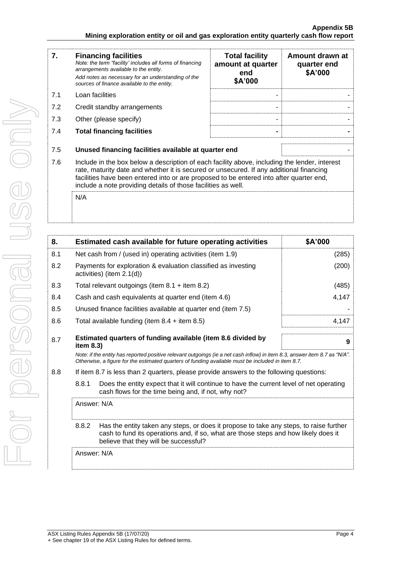| 7.  | <b>Financing facilities</b><br>Note: the term "facility' includes all forms of financing<br>arrangements available to the entity.<br>Add notes as necessary for an understanding of the<br>sources of finance available to the entity.                                                                                                               | <b>Total facility</b><br>amount at quarter<br>end<br>\$A'000 | Amount drawn at<br>quarter end<br>\$A'000 |  |
|-----|------------------------------------------------------------------------------------------------------------------------------------------------------------------------------------------------------------------------------------------------------------------------------------------------------------------------------------------------------|--------------------------------------------------------------|-------------------------------------------|--|
| 7.1 | Loan facilities                                                                                                                                                                                                                                                                                                                                      |                                                              |                                           |  |
| 7.2 | Credit standby arrangements                                                                                                                                                                                                                                                                                                                          |                                                              |                                           |  |
| 7.3 | Other (please specify)                                                                                                                                                                                                                                                                                                                               |                                                              |                                           |  |
| 7.4 | <b>Total financing facilities</b>                                                                                                                                                                                                                                                                                                                    |                                                              |                                           |  |
| 7.5 | Unused financing facilities available at quarter end                                                                                                                                                                                                                                                                                                 |                                                              |                                           |  |
| 7.6 | Include in the box below a description of each facility above, including the lender, interest<br>rate, maturity date and whether it is secured or unsecured. If any additional financing<br>facilities have been entered into or are proposed to be entered into after quarter end,<br>include a note providing details of those facilities as well. |                                                              |                                           |  |
|     | N/A                                                                                                                                                                                                                                                                                                                                                  |                                                              |                                           |  |

| 8.  |                                                                                                                                                                                                                                 | Estimated cash available for future operating activities      | \$A'000 |
|-----|---------------------------------------------------------------------------------------------------------------------------------------------------------------------------------------------------------------------------------|---------------------------------------------------------------|---------|
| 8.1 |                                                                                                                                                                                                                                 | Net cash from / (used in) operating activities (item 1.9)     | (285)   |
| 8.2 | Payments for exploration & evaluation classified as investing<br>activities) (item 2.1(d))                                                                                                                                      |                                                               | (200)   |
| 8.3 | Total relevant outgoings (item $8.1 +$ item $8.2$ )                                                                                                                                                                             |                                                               | (485)   |
| 8.4 |                                                                                                                                                                                                                                 | 4,147<br>Cash and cash equivalents at quarter end (item 4.6)  |         |
| 8.5 |                                                                                                                                                                                                                                 | Unused finance facilities available at quarter end (item 7.5) |         |
| 8.6 |                                                                                                                                                                                                                                 | Total available funding (item $8.4 +$ item $8.5$ )            | 4,147   |
| 8.7 | Estimated quarters of funding available (item 8.6 divided by<br>9<br>item 8.3)                                                                                                                                                  |                                                               |         |
|     | Note: if the entity has reported positive relevant outgoings (ie a net cash inflow) in item 8.3, answer item 8.7 as "N/A".<br>Otherwise, a figure for the estimated quarters of funding available must be included in item 8.7. |                                                               |         |
| 8.8 | If item 8.7 is less than 2 quarters, please provide answers to the following questions:                                                                                                                                         |                                                               |         |
|     | 8.8.1<br>Does the entity expect that it will continue to have the current level of net operating<br>cash flows for the time being and, if not, why not?                                                                         |                                                               |         |
|     | Answer: N/A                                                                                                                                                                                                                     |                                                               |         |
|     | 8.8.2<br>Has the entity taken any steps, or does it propose to take any steps, to raise further<br>cash to fund its operations and, if so, what are those steps and how likely does it<br>believe that they will be successful? |                                                               |         |
|     | Answer: N/A                                                                                                                                                                                                                     |                                                               |         |